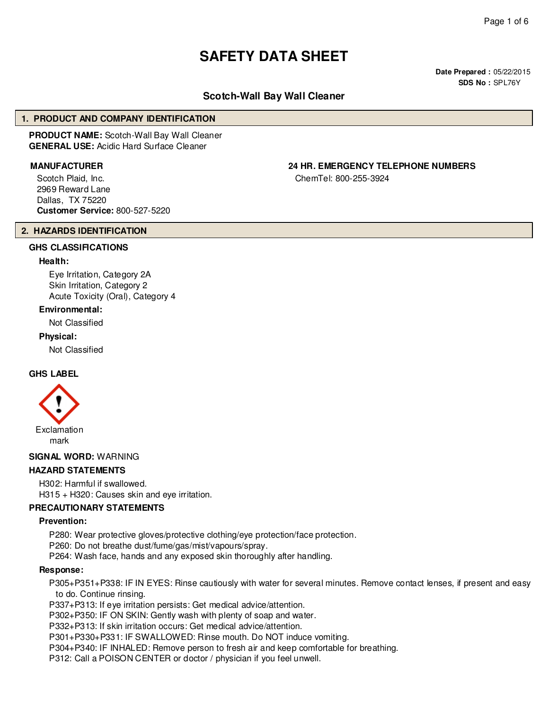# **SAFETY DATA SHEET**

**Date Prepared :** 05/22/2015 **SDS No :** SPL76Y

# **Scotch-Wall Bay Wall Cleaner**

#### **1. PRODUCT AND COMPANY IDENTIFICATION**

**PRODUCT NAME:** Scotch-Wall Bay Wall Cleaner **GENERAL USE:** Acidic Hard Surface Cleaner

Scotch Plaid, Inc. 2969 Reward Lane Dallas, TX 75220 **Customer Service:** 800-527-5220

#### **2. HAZARDS IDENTIFICATION**

#### **GHS CLASSIFICATIONS**

#### **Health:**

Eye Irritation, Category 2A Skin Irritation, Category 2 Acute Toxicity (Oral), Category 4

#### **Environmental:**

Not Classified

#### **Physical:**

Not Classified

#### **GHS LABEL**



**SIGNAL WORD:** WARNING

#### **HAZARD STATEMENTS**

H302: Harmful if swallowed. H315 + H320: Causes skin and eye irritation.

#### **PRECAUTIONARY STATEMENTS**

#### **Prevention:**

P280: Wear protective gloves/protective clothing/eye protection/face protection.

P260: Do not breathe dust/fume/gas/mist/vapours/spray.

P264: Wash face, hands and any exposed skin thoroughly after handling.

#### **Response:**

P305+P351+P338: IF IN EYES: Rinse cautiously with water for several minutes. Remove contact lenses, if present and easy to do. Continue rinsing.

P337+P313: If eye irritation persists: Get medical advice/attention.

P302+P350: IF ON SKIN: Gently wash with plenty of soap and water.

P332+P313: If skin irritation occurs: Get medical advice/attention.

P301+P330+P331: IF SWALLOWED: Rinse mouth. Do NOT induce vomiting.

P304+P340: IF INHALED: Remove person to fresh air and keep comfortable for breathing.

P312: Call a POISON CENTER or doctor / physician if you feel unwell.

# **MANUFACTURER 24 HR. EMERGENCY TELEPHONE NUMBERS**

ChemTel: 800-255-3924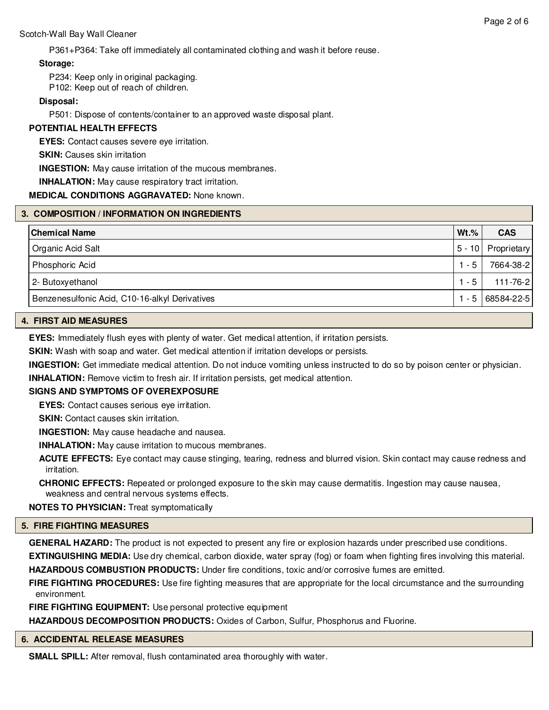P361+P364: Take off immediately all contaminated clothing and wash it before reuse.

# **Storage:**

P234: Keep only in original packaging.

P102: Keep out of reach of children.

# **Disposal:**

P501: Dispose of contents/container to an approved waste disposal plant.

# **POTENTIAL HEALTH EFFECTS**

**EYES:** Contact causes severe eye irritation.

**SKIN: Causes skin irritation** 

**INGESTION:** May cause irritation of the mucous membranes.

**INHALATION:** May cause respiratory tract irritation.

## **MEDICAL CONDITIONS AGGRAVATED:** None known.

## **3. COMPOSITION / INFORMATION ON INGREDIENTS**

| <b>Chemical Name</b>                           | $Wt.$ % | <b>CAS</b>         |
|------------------------------------------------|---------|--------------------|
| Organic Acid Salt                              |         | 5 - 10 Proprietary |
| Phosphoric Acid                                | $1 - 5$ | 7664-38-2          |
| 2- Butoxyethanol                               | $1 - 5$ | 111-76-2           |
| Benzenesulfonic Acid, C10-16-alkyl Derivatives | $1 - 5$ | 68584-22-5         |

#### **4. FIRST AID MEASURES**

**EYES:** Immediately flush eyes with plenty of water. Get medical attention, if irritation persists.

**SKIN:** Wash with soap and water. Get medical attention if irritation develops or persists.

**INGESTION:** Get immediate medical attention. Do not induce vomiting unless instructed to do so by poison center or physician.

**INHALATION:** Remove victim to fresh air. If irritation persists, get medical attention.

#### **SIGNS AND SYMPTOMS OF OVEREXPOSURE**

**EYES:** Contact causes serious eye irritation.

**SKIN:** Contact causes skin irritation.

**INGESTION:** May cause headache and nausea.

**INHALATION:** May cause irritation to mucous membranes.

**ACUTE EFFECTS:** Eye contact may cause stinging, tearing, redness and blurred vision. Skin contact may cause redness and irritation.

**CHRONIC EFFECTS:** Repeated or prolonged exposure to the skin may cause dermatitis. Ingestion may cause nausea, weakness and central nervous systems effects.

**NOTES TO PHYSICIAN:** Treat symptomatically

## **5. FIRE FIGHTING MEASURES**

**GENERAL HAZARD:** The product is not expected to present any fire or explosion hazards under prescribed use conditions.

**EXTINGUISHING MEDIA:** Use dry chemical, carbon dioxide, water spray (fog) or foam when fighting fires involving this material. **HAZARDOUS COMBUSTION PRODUCTS:** Under fire conditions, toxic and/or corrosive fumes are emitted.

**FIRE FIGHTING PROCEDURES:** Use fire fighting measures that are appropriate for the local circumstance and the surrounding environment.

**FIRE FIGHTING EQUIPMENT:** Use personal protective equipment

**HAZARDOUS DECOMPOSITION PRODUCTS:** Oxides of Carbon, Sulfur, Phosphorus and Fluorine.

# **6. ACCIDENTAL RELEASE MEASURES**

**SMALL SPILL:** After removal, flush contaminated area thoroughly with water.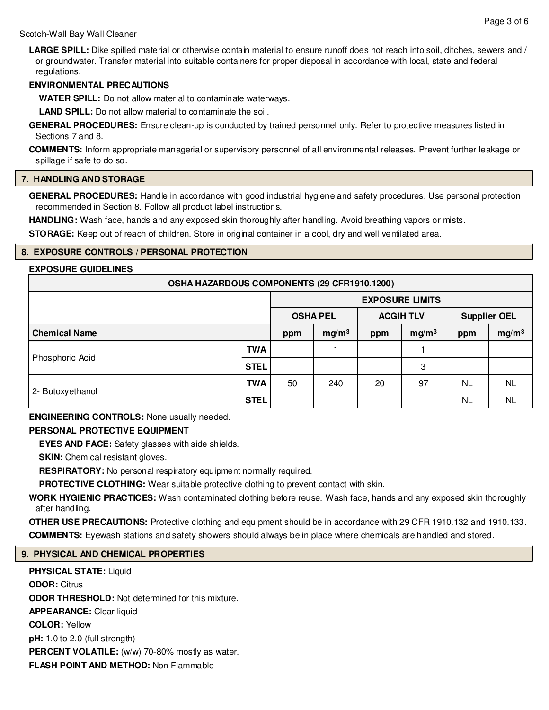**LARGE SPILL:** Dike spilled material or otherwise contain material to ensure runoff does not reach into soil, ditches, sewers and / or groundwater. Transfer material into suitable containers for proper disposal in accordance with local, state and federal regulations.

#### **ENVIRONMENTAL PRECAUTIONS**

**WATER SPILL:** Do not allow material to contaminate waterways.

**LAND SPILL:** Do not allow material to contaminate the soil.

**GENERAL PROCEDURES:** Ensure clean-up is conducted by trained personnel only. Refer to protective measures listed in Sections 7 and 8.

**COMMENTS:** Inform appropriate managerial or supervisory personnel of all environmental releases. Prevent further leakage or spillage if safe to do so.

#### **7. HANDLING AND STORAGE**

**GENERAL PROCEDURES:** Handle in accordance with good industrial hygiene and safety procedures. Use personal protection recommended in Section 8. Follow all product label instructions.

**HANDLING:** Wash face, hands and any exposed skin thoroughly after handling. Avoid breathing vapors or mists.

**STORAGE:** Keep out of reach of children. Store in original container in a cool, dry and well ventilated area.

#### **8. EXPOSURE CONTROLS / PERSONAL PROTECTION**

#### **EXPOSURE GUIDELINES**

| OSHA HAZARDOUS COMPONENTS (29 CFR1910.1200) |             |                                     |                   |                     |                        |                          |           |
|---------------------------------------------|-------------|-------------------------------------|-------------------|---------------------|------------------------|--------------------------|-----------|
|                                             |             |                                     |                   |                     | <b>EXPOSURE LIMITS</b> |                          |           |
|                                             |             | <b>OSHA PEL</b><br><b>ACGIH TLV</b> |                   | <b>Supplier OEL</b> |                        |                          |           |
| <b>Chemical Name</b>                        |             | ppm                                 | mg/m <sup>3</sup> | ppm                 | mg/m <sup>3</sup>      | mg/m <sup>3</sup><br>ppm |           |
|                                             | TWA         |                                     |                   |                     |                        |                          |           |
| Phosphoric Acid                             | <b>STEL</b> |                                     |                   |                     | 3                      | <b>NL</b><br>NL          |           |
| 2- Butoxyethanol                            | <b>TWA</b>  | 50                                  | 240               | 20                  | 97                     |                          | <b>NL</b> |
|                                             | <b>STEL</b> |                                     |                   |                     |                        |                          | NL        |

**ENGINEERING CONTROLS:** None usually needed.

## **PERSONAL PROTECTIVE EQUIPMENT**

**EYES AND FACE:** Safety glasses with side shields.

**SKIN:** Chemical resistant gloves.

**RESPIRATORY:** No personal respiratory equipment normally required.

**PROTECTIVE CLOTHING:** Wear suitable protective clothing to prevent contact with skin.

**WORK HYGIENIC PRACTICES:** Wash contaminated clothing before reuse. Wash face, hands and any exposed skin thoroughly after handling.

**OTHER USE PRECAUTIONS:** Protective clothing and equipment should be in accordance with 29 CFR 1910.132 and 1910.133. **COMMENTS:** Eyewash stations and safety showers should always be in place where chemicals are handled and stored.

## **9. PHYSICAL AND CHEMICAL PROPERTIES**

**PHYSICAL STATE:** Liquid **ODOR:** Citrus **ODOR THRESHOLD:** Not determined for this mixture. **APPEARANCE:** Clear liquid **COLOR:** Yellow **pH:** 1.0 to 2.0 (full strength) PERCENT VOLATILE: (w/w) 70-80% mostly as water. **FLASH POINT AND METHOD:** Non Flammable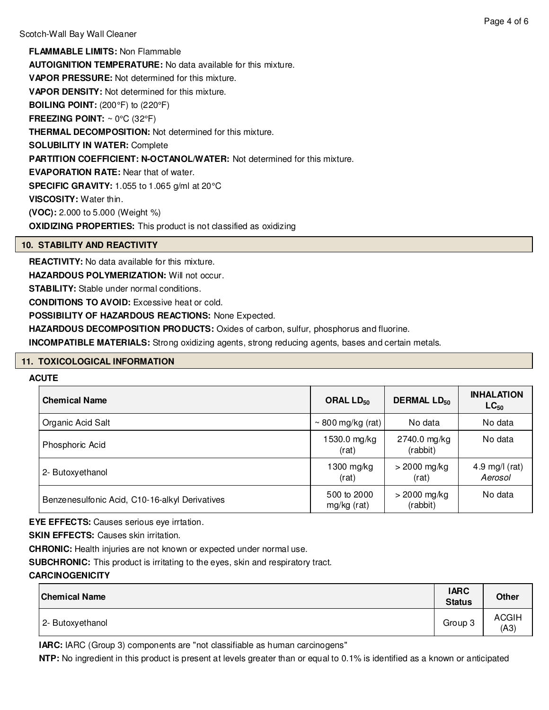**FLAMMABLE LIMITS:** Non Flammable **AUTOIGNITION TEMPERATURE:** No data available for this mixture. **VAPOR PRESSURE:** Not determined for this mixture. **VAPOR DENSITY:** Not determined for this mixture. **BOILING POINT:** (200°F) to (220°F) **FREEZING POINT:** ~ 0°C (32°F) **THERMAL DECOMPOSITION:** Not determined for this mixture. **SOLUBILITY IN WATER:** Complete **PARTITION COEFFICIENT: N-OCTANOL/WATER:** Not determined for this mixture. **EVAPORATION RATE:** Near that of water. **SPECIFIC GRAVITY:** 1.055 to 1.065 g/ml at 20°C **VISCOSITY:** Water thin. **(VOC):** 2.000 to 5.000 (Weight %) **OXIDIZING PROPERTIES:** This product is not classified as oxidizing

## **10. STABILITY AND REACTIVITY**

**REACTIVITY:** No data available for this mixture.

**HAZARDOUS POLYMERIZATION:** Will not occur.

**STABILITY:** Stable under normal conditions.

**CONDITIONS TO AVOID:** Excessive heat or cold.

**POSSIBILITY OF HAZARDOUS REACTIONS:** None Expected.

**HAZARDOUS DECOMPOSITION PRODUCTS:** Oxides of carbon, sulfur, phosphorus and fluorine.

**INCOMPATIBLE MATERIALS:** Strong oxidizing agents, strong reducing agents, bases and certain metals.

#### **11. TOXICOLOGICAL INFORMATION**

#### **ACUTE**

| <b>Chemical Name</b>                           | ORAL $LD_{50}$             | <b>DERMAL LD<sub>50</sub></b> | <b>INHALATION</b><br>$LC_{50}$ |  |
|------------------------------------------------|----------------------------|-------------------------------|--------------------------------|--|
| Organic Acid Salt                              | $\sim$ 800 mg/kg (rat)     | No data                       | No data                        |  |
| Phosphoric Acid                                | 1530.0 mg/kg<br>(rat)      | 2740.0 mg/kg<br>(rabbit)      | No data                        |  |
| 2- Butoxyethanol                               | $1300$ mg/kg<br>(rat)      | $>$ 2000 mg/kg<br>(rat)       | 4.9 mg/l $(rat)$<br>Aerosol    |  |
| Benzenesulfonic Acid, C10-16-alkyl Derivatives | 500 to 2000<br>mg/kg (rat) | $>$ 2000 mg/kg<br>(rabbit)    | No data                        |  |

**EYE EFFECTS:** Causes serious eye irrtation.

**SKIN EFFECTS: Causes skin irritation.** 

**CHRONIC:** Health injuries are not known or expected under normal use.

**SUBCHRONIC:** This product is irritating to the eyes, skin and respiratory tract.

#### **CARCINOGENICITY**

| <b>Chemical Name</b> | <b>IARC</b><br><b>Status</b> | <b>Other</b>         |
|----------------------|------------------------------|----------------------|
| 2- Butoxyethanol     | Group 3                      | <b>ACGIH</b><br>(A3) |

**IARC:** IARC (Group 3) components are "not classifiable as human carcinogens"

**NTP:** No ingredient in this product is present at levels greater than or equal to 0.1% is identified as a known or anticipated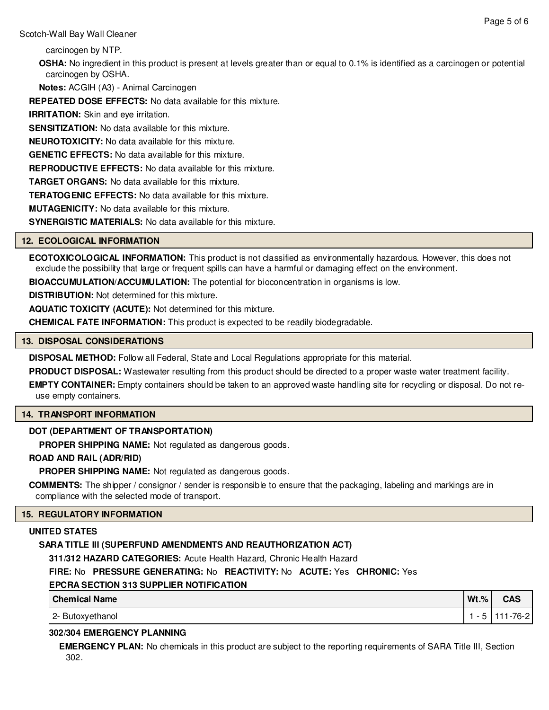Scotch-Wall Bay Wall Cleaner

carcinogen by NTP.

**OSHA:** No ingredient in this product is present at levels greater than or equal to 0.1% is identified as a carcinogen or potential carcinogen by OSHA.

**Notes:** ACGIH (A3) - Animal Carcinogen

**REPEATED DOSE EFFECTS:** No data available for this mixture.

**IRRITATION:** Skin and eye irritation.

**SENSITIZATION:** No data available for this mixture.

**NEUROTOXICITY:** No data available for this mixture.

**GENETIC EFFECTS:** No data available for this mixture.

**REPRODUCTIVE EFFECTS:** No data available for this mixture.

**TARGET ORGANS:** No data available for this mixture.

**TERATOGENIC EFFECTS:** No data available for this mixture.

**MUTAGENICITY:** No data available for this mixture.

**SYNERGISTIC MATERIALS:** No data available for this mixture.

## **12. ECOLOGICAL INFORMATION**

**ECOTOXICOLOGICAL INFORMATION:** This product is not classified as environmentally hazardous. However, this does not exclude the possibility that large or frequent spills can have a harmful or damaging effect on the environment.

**BIOACCUMULATION/ACCUMULATION:** The potential for bioconcentration in organisms is low.

**DISTRIBUTION:** Not determined for this mixture.

**AQUATIC TOXICITY (ACUTE):** Not determined for this mixture.

**CHEMICAL FATE INFORMATION:** This product is expected to be readily biodegradable.

#### **13. DISPOSAL CONSIDERATIONS**

**DISPOSAL METHOD:** Follow all Federal, State and Local Regulations appropriate for this material.

**PRODUCT DISPOSAL:** Wastewater resulting from this product should be directed to a proper waste water treatment facility.

**EMPTY CONTAINER:** Empty containers should be taken to an approved waste handling site for recycling or disposal. Do not reuse empty containers.

# **14. TRANSPORT INFORMATION**

# **DOT (DEPARTMENT OF TRANSPORTATION)**

**PROPER SHIPPING NAME:** Not regulated as dangerous goods.

## **ROAD AND RAIL (ADR/RID)**

**PROPER SHIPPING NAME:** Not regulated as dangerous goods.

**COMMENTS:** The shipper / consignor / sender is responsible to ensure that the packaging, labeling and markings are in compliance with the selected mode of transport.

## **15. REGULATORY INFORMATION**

## **UNITED STATES**

# **SARA TITLE III (SUPERFUND AMENDMENTS AND REAUTHORIZATION ACT)**

**311/312 HAZARD CATEGORIES:** Acute Health Hazard, Chronic Health Hazard

# **FIRE:** No **PRESSURE GENERATING:** No **REACTIVITY:** No **ACUTE:** Yes **CHRONIC:** Yes

# **EPCRA SECTION 313 SUPPLIER NOTIFICATION**

| <b>Chemical Name</b> | $Wt.$ % | <b>CAS</b> |
|----------------------|---------|------------|
| 2- Butoxyethanol     |         | $-76-2$    |

# **302/304 EMERGENCY PLANNING**

**EMERGENCY PLAN:** No chemicals in this product are subject to the reporting requirements of SARA Title III, Section 302.